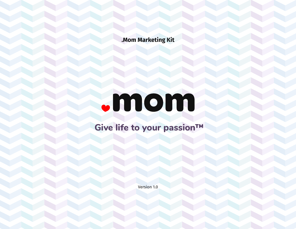**.Mom Marketing Kit**

# mom

## **Give life to your passion™**

Version 1.0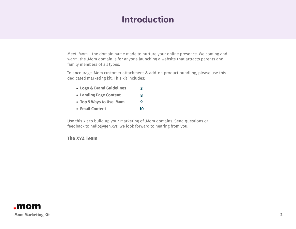## **Introduction**

Meet .Mom – the domain name made to nurture your online presence. Welcoming and warm, the .Mom domain is for anyone launching a website that attracts parents and family members of all types.

To encourage .Mom customer attachment & add-on product bundling, please use this dedicated marketing kit. This kit includes:

- **Logo & Brand Guidelines [3](#page-2-0)**
- **Landing Page Content [8](#page-7-0)**
- **Top 5 Ways to Use .Mom [9](#page-8-0)**
- **Email Content [10](#page-9-0)**

Use this kit to build up your marketing of .Mom domains. Send questions or feedback to hello@gen.xyz, we look forward to hearing from you.

### **The XYZ Team**

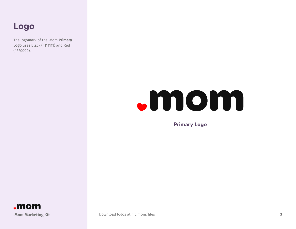## <span id="page-2-0"></span>**Logo**

The logomark of the .Mom **Primary Logo** uses Black (#111111) and Red (#FF0000).

# **Mom**

**Primary Logo**



**.Mom Marketing Kit 3** [Download logos at](https://nic.mom/files) nic.mom/files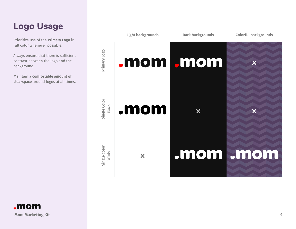## **Logo Usage**

Prioritize use of the **Primary Logo** in full color whenever possible.

Always ensure that there is sufficient contrast between the logo and the background.

Maintain a **comfortable amount of clearspace** around logos at all times.



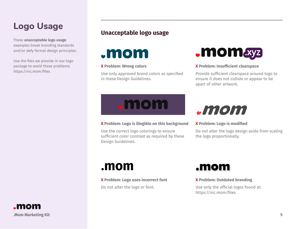## **Logo Usage**

These **unacceptable logo usage** examples break branding standards and/or defy formal design principles.

Use the files we provide in our logo package to avoid these problems: https://nic.mom/files

## **Unacceptable logo usage**

**.mom** 

### **X Problem: Wrong colors**

Use only approved brand colors as specified in these Design Guidelines.



#### **X Problem: Insufficient clearspace**

Provide sufficient clearspace around logo to ensure it does not collide or appear to be apart of other artwork.



#### **X Problem: Logo is illegible on this background**

Use the correct logo colorings to ensure sufficient color contrast as required by these Design Guidelines.



#### **X Problem: Logo is modified**

Do not alter the logo design aside from scaling the logo proportionally.

**X Problem: Logo uses incorrect font**

Do not alter the logo or font.



#### **X Problem: Outdated branding**

Use only the official logos found at: https://nic.mom/files

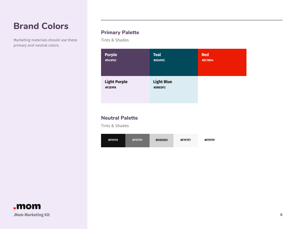## **Brand Colors**

Marketing materials should use these primary and neutral colors.

## **Primary Palette**

Tints & Shades

| <b>Purple</b>                  | <b>Teal</b>                  | <b>Red</b> |
|--------------------------------|------------------------------|------------|
| #543F62                        | #02495C                      | #EC1B04    |
| <b>Light Purple</b><br>#F2E9F8 | <b>Light Blue</b><br>#DBEDF2 |            |

## **Neutral Palette**

Tints & Shades

| #111111<br>#717171 | #D3D3D3 | #F7F7F7 | #FFFFFF |
|--------------------|---------|---------|---------|
|--------------------|---------|---------|---------|

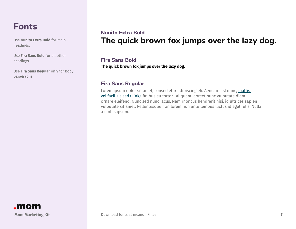## **Fonts**

Use **Nunito Extra Bold** for main headings.

Use **Fira Sans Bold** for all other headings.

Use **Fira Sans Regular** only for body paragraphs.

## **The quick brown fox jumps over the lazy dog. Nunito Extra Bold**

**The quick brown fox jumps over the lazy dog. Fira Sans Bold**

## **Fira Sans Regular**

Lorem ipsum dolor sit amet, consectetur adipiscing eli. Aenean nisl nunc, mattis vel facilisis sed (Link), finibus eu tortor. Aliquam laoreet nunc vulputate diam ornare eleifend. Nunc sed nunc lacus. Nam rhoncus hendrerit nisi, id ultrices sapien vulputate sit amet. Pellentesque non lorem non ante tempus luctus id eget felis. Nulla a mollis ipsum.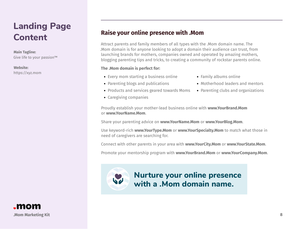## <span id="page-7-0"></span>**Landing Page Content**

#### **Main Tagline:**

Give life to your passion™

#### **Website:**

https://xyz.mom

## **Raise your online presence with .Mom**

Attract parents and family members of all types with the .Mom domain name. The .Mom domain is for anyone looking to adopt a domain their audience can trust, from launching brands for mothers, companies owned and operated by amazing mothers, blogging parenting tips and tricks, to creating a community of rockstar parents online.

### **The .Mom domain is perfect for:**

- Every mom starting a business online
- Parenting blogs and publications
- Products and services geared towards Moms
- Caregiving companies
- Family albums online
- Motherhood leaders and mentors
- Parenting clubs and organizations

Proudly establish your mother-lead business online with **www.YourBrand.Mom** or **www.YourName.Mom**.

Share your parenting advice on **www.YourName.Mom** or **www.YourBlog.Mom**.

Use keyword-rich **www.YourType.Mom** or **www.YourSpecialty.Mom** to match what those in need of caregivers are searching for.

Connect with other parents in your area with **www.YourCity.Mom** or **www.YourState.Mom**.

Promote your mentorship program with **www.YourBrand.Mom** or **www.YourCompany.Mom**.



**Nurture your online presence with a .Mom domain name.**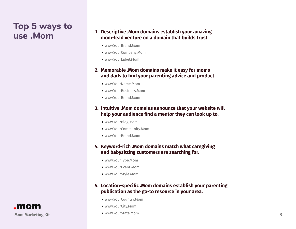## <span id="page-8-0"></span>**Top 5 ways to**

## **use .Mom Descriptive .Mom domains establish your amazing use .Mom domains establish your amazing use . mom-lead venture on a domain that builds trust.**

- www.YourBrand.Mom
- www.YourCompany.Mom
- www.YourLabel.Mom

## **2. Memorable .Mom domains make it easy for moms and dads to find your parenting advice and product**

- www.YourName.Mom
- www.YourBusiness.Mom
- www.YourBrand.Mom

## **3. Intuitive .Mom domains announce that your website will help your audience find a mentor they can look up to.**

- www.YourBlog.Mom
- www.YourCommunity.Mom
- www.YourBrand.Mom

## **4. Keyword-rich .Mom domains match what caregiving and babysitting customers are searching for.**

- www.YourType.Mom
- www.YourEvent.Mom
- www.YourStyle.Mom

## **5. Location-specific .Mom domains establish your parenting publication as the go-to resource in your area.**

- www.YourCountry.Mom
- www.YourCity.Mom
- www.YourState.Mom

**.Mom Marketing Kit 9**

"mom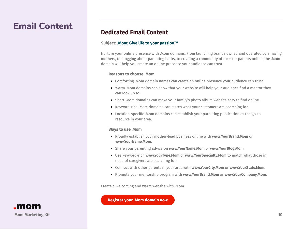## <span id="page-9-0"></span>**Email Content**

## **Dedicated Email Content**

#### **Subject: .Mom: Give life to your passion™**

Nurture your online presence with .Mom domains. From launching brands owned and operated by amazing mothers, to blogging about parenting hacks, to creating a community of rockstar parents online, the .Mom domain will help you create an online presence your audience can trust.

#### **Reasons to choose .Mom**

- Comforting .Mom domain names can create an online presence your audience can trust.
- Warm .Mom domains can show that your website will help your audience find a mentor they can look up to.
- Short .Mom domains can make your family's photo album website easy to find online.
- Keyword-rich .Mom domains can match what your customers are searching for.
- Location-specific .Mom domains can establish your parenting publication as the go-to resource in your area.

#### **Ways to use .Mom**

- Proudly establish your mother-lead business online with **www.YourBrand.Mom** or **www.YourName.Mom**.
- Share your parenting advice on **www.YourName.Mom** or **www.YourBlog.Mom**.
- Use keyword-rich **www.YourType.Mom** or **www.YourSpecialty.Mom** to match what those in need of caregivers are searching for.
- Connect with other parents in your area with **www.YourCity.Mom** or **www.YourState.Mom**.
- Promote your mentorship program with **www.YourBrand.Mom** or **www.YourCompany.Mom**.

Create a welcoming and warm website with .Mom.

**Register your .Mom domain now**

**.Mom Marketing Kit 10**

.mom